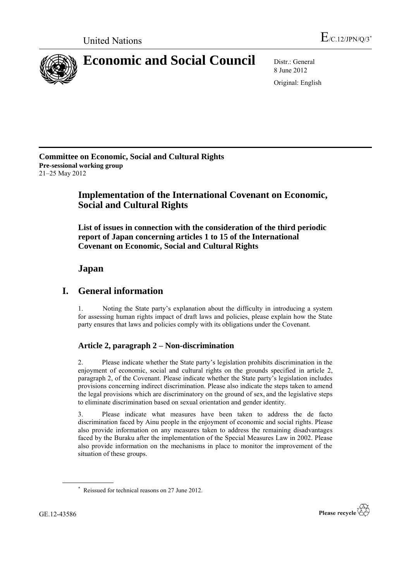

8 June 2012 Original: English

**Committee on Economic, Social and Cultural Rights Pre-sessional working group** 21–25 May 2012

# **Implementation of the International Covenant on Economic, Social and Cultural Rights**

**List of issues in connection with the consideration of the third periodic report of Japan concerning articles 1 to 15 of the International Covenant on Economic, Social and Cultural Rights**

## **Japan**

## **I. General information**

1. Noting the State party"s explanation about the difficulty in introducing a system for assessing human rights impact of draft laws and policies, please explain how the State party ensures that laws and policies comply with its obligations under the Covenant.

## **Article 2, paragraph 2 – Non-discrimination**

2. Please indicate whether the State party"s legislation prohibits discrimination in the enjoyment of economic, social and cultural rights on the grounds specified in article 2, paragraph 2, of the Covenant. Please indicate whether the State party"s legislation includes provisions concerning indirect discrimination. Please also indicate the steps taken to amend the legal provisions which are discriminatory on the ground of sex, and the legislative steps to eliminate discrimination based on sexual orientation and gender identity.

3. Please indicate what measures have been taken to address the de facto discrimination faced by Ainu people in the enjoyment of economic and social rights. Please also provide information on any measures taken to address the remaining disadvantages faced by the Buraku after the implementation of the Special Measures Law in 2002. Please also provide information on the mechanisms in place to monitor the improvement of the situation of these groups.



<sup>\*</sup> Reissued for technical reasons on 27 June 2012.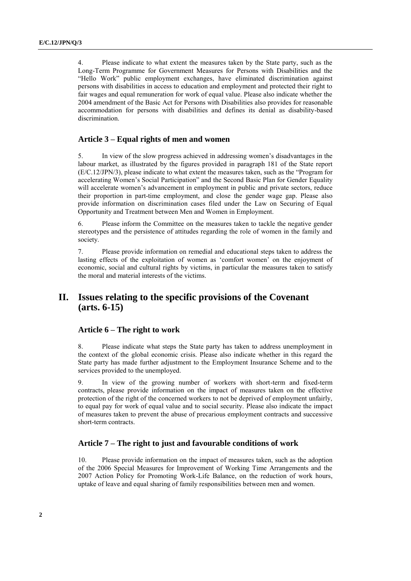4. Please indicate to what extent the measures taken by the State party, such as the Long-Term Programme for Government Measures for Persons with Disabilities and the "Hello Work" public employment exchanges, have eliminated discrimination against persons with disabilities in access to education and employment and protected their right to fair wages and equal remuneration for work of equal value. Please also indicate whether the 2004 amendment of the Basic Act for Persons with Disabilities also provides for reasonable accommodation for persons with disabilities and defines its denial as disability-based discrimination.

### **Article 3 – Equal rights of men and women**

5. In view of the slow progress achieved in addressing women"s disadvantages in the labour market, as illustrated by the figures provided in paragraph 181 of the State report (E/C.12/JPN/3), please indicate to what extent the measures taken, such as the "Program for accelerating Women"s Social Participation" and the Second Basic Plan for Gender Equality will accelerate women's advancement in employment in public and private sectors, reduce their proportion in part-time employment, and close the gender wage gap. Please also provide information on discrimination cases filed under the Law on Securing of Equal Opportunity and Treatment between Men and Women in Employment.

6. Please inform the Committee on the measures taken to tackle the negative gender stereotypes and the persistence of attitudes regarding the role of women in the family and society.

7. Please provide information on remedial and educational steps taken to address the lasting effects of the exploitation of women as "comfort women" on the enjoyment of economic, social and cultural rights by victims, in particular the measures taken to satisfy the moral and material interests of the victims.

## **II. Issues relating to the specific provisions of the Covenant (arts. 6-15)**

### **Article 6 – The right to work**

8. Please indicate what steps the State party has taken to address unemployment in the context of the global economic crisis. Please also indicate whether in this regard the State party has made further adjustment to the Employment Insurance Scheme and to the services provided to the unemployed.

9. In view of the growing number of workers with short-term and fixed-term contracts, please provide information on the impact of measures taken on the effective protection of the right of the concerned workers to not be deprived of employment unfairly, to equal pay for work of equal value and to social security. Please also indicate the impact of measures taken to prevent the abuse of precarious employment contracts and successive short-term contracts.

### **Article 7 – The right to just and favourable conditions of work**

10. Please provide information on the impact of measures taken, such as the adoption of the 2006 Special Measures for Improvement of Working Time Arrangements and the 2007 Action Policy for Promoting Work-Life Balance, on the reduction of work hours, uptake of leave and equal sharing of family responsibilities between men and women.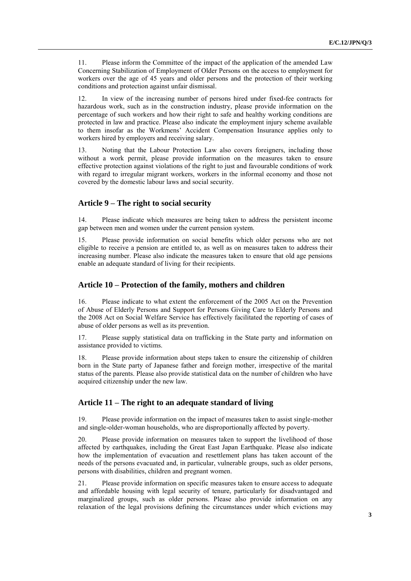11. Please inform the Committee of the impact of the application of the amended Law Concerning Stabilization of Employment of Older Persons on the access to employment for workers over the age of 45 years and older persons and the protection of their working conditions and protection against unfair dismissal.

12. In view of the increasing number of persons hired under fixed-fee contracts for hazardous work, such as in the construction industry, please provide information on the percentage of such workers and how their right to safe and healthy working conditions are protected in law and practice. Please also indicate the employment injury scheme available to them insofar as the Workmens" Accident Compensation Insurance applies only to workers hired by employers and receiving salary.

13. Noting that the Labour Protection Law also covers foreigners, including those without a work permit, please provide information on the measures taken to ensure effective protection against violations of the right to just and favourable conditions of work with regard to irregular migrant workers, workers in the informal economy and those not covered by the domestic labour laws and social security.

#### **Article 9 – The right to social security**

14. Please indicate which measures are being taken to address the persistent income gap between men and women under the current pension system.

15. Please provide information on social benefits which older persons who are not eligible to receive a pension are entitled to, as well as on measures taken to address their increasing number. Please also indicate the measures taken to ensure that old age pensions enable an adequate standard of living for their recipients.

#### **Article 10 – Protection of the family, mothers and children**

16. Please indicate to what extent the enforcement of the 2005 Act on the Prevention of Abuse of Elderly Persons and Support for Persons Giving Care to Elderly Persons and the 2008 Act on Social Welfare Service has effectively facilitated the reporting of cases of abuse of older persons as well as its prevention.

17. Please supply statistical data on trafficking in the State party and information on assistance provided to victims.

18. Please provide information about steps taken to ensure the citizenship of children born in the State party of Japanese father and foreign mother, irrespective of the marital status of the parents. Please also provide statistical data on the number of children who have acquired citizenship under the new law.

#### **Article 11 – The right to an adequate standard of living**

19. Please provide information on the impact of measures taken to assist single-mother and single-older-woman households, who are disproportionally affected by poverty.

20. Please provide information on measures taken to support the livelihood of those affected by earthquakes, including the Great East Japan Earthquake. Please also indicate how the implementation of evacuation and resettlement plans has taken account of the needs of the persons evacuated and, in particular, vulnerable groups, such as older persons, persons with disabilities, children and pregnant women.

21. Please provide information on specific measures taken to ensure access to adequate and affordable housing with legal security of tenure, particularly for disadvantaged and marginalized groups, such as older persons. Please also provide information on any relaxation of the legal provisions defining the circumstances under which evictions may